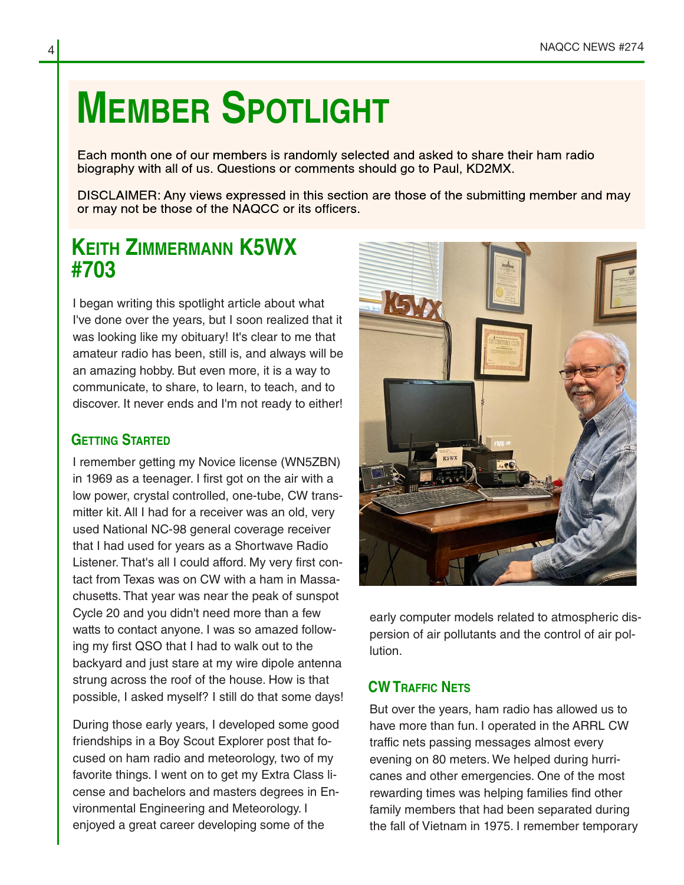# **MEMBER SPOTLIGHT**

Each month one of our members is randomly selected and asked to share their ham radio biography with all of us. Questions or comments should go to Paul, KD2MX.

DISCLAIMER: Any views expressed in this section are those of the submitting member and may or may not be those of the NAQCC or its officers.

### **KEITH ZIMMERMANN K5WX #703**

I began writing this spotlight article about what I've done over the years, but I soon realized that it was looking like my obituary! It's clear to me that amateur radio has been, still is, and always will be an amazing hobby. But even more, it is a way to communicate, to share, to learn, to teach, and to discover. It never ends and I'm not ready to either!

#### **GETTING STARTED**

I remember getting my Novice license (WN5ZBN) in 1969 as a teenager. I first got on the air with a low power, crystal controlled, one-tube, CW trans‐ mitter kit. All I had for a receiver was an old, very used National NC-98 general coverage receiver that I had used for years as a Shortwave Radio Listener. That's all I could afford. My very first con‐ tact from Texas was on CW with a ham in Massa‐ chusetts. That year was near the peak of sunspot Cycle 20 and you didn't need more than a few watts to contact anyone. I was so amazed follow‐ ing my first QSO that I had to walk out to the backyard and just stare at my wire dipole antenna strung across the roof of the house. How is that possible, I asked myself? I still do that some days!

During those early years, I developed some good friendships in a Boy Scout Explorer post that fo‐ cused on ham radio and meteorology, two of my favorite things. I went on to get my Extra Class li‐ cense and bachelors and masters degrees in En‐ vironmental Engineering and Meteorology. I enjoyed a great career developing some of the



early computer models related to atmospheric dis‐ persion of air pollutants and the control of air pol‐ lution.

#### **CW TRAFFIC NETS**

But over the years, ham radio has allowed us to have more than fun. I operated in the ARRL CW traffic nets passing messages almost every evening on 80 meters. We helped during hurri‐ canes and other emergencies. One of the most rewarding times was helping families find other family members that had been separated during the fall of Vietnam in 1975. I remember temporary